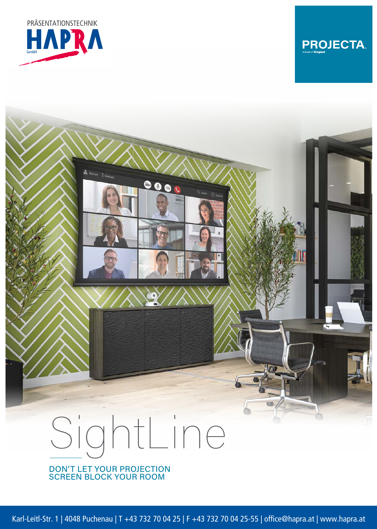



## $0000$ SightLine

DON'T LET YOUR PROJECTION SCREEN BLOCK YOUR ROOM

Karl-Leitl-Str. 1 | 4048 Puchenau | T +43 732 70 04 25 | F +43 732 70 04 25-55 | office@hapra.at | www.hapra.at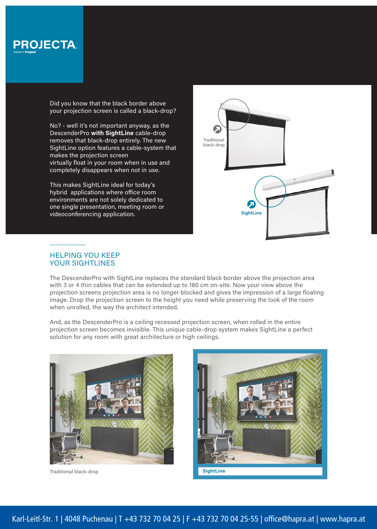

Did you know that the black border above your projection screen is called a black-drop?

No? - well it's not important anyway, as the DescenderPro **with SightLine** cable-drop removes that black-drop entirely. The new SightLine option features a cable-system that makes the projection screen virtually float in your room when in use and completely disappears when not in use.

This makes SightLine ideal for today's hybrid applications where office room environments are not solely dedicated to one single presentation, meeting room or videoconferencing application.



## HELPING YOU KEEP YOUR SIGHTLINES

The DescenderPro with SightLine replaces the standard black border above the projection area with 3 or 4 thin cables that can be extended up to 180 cm on-site. Now your view above the projection screens projection area is no longer blocked and gives the impression of a large floating image. Drop the projection screen to the height you need while preserving the look of the room when unrolled, the way the architect intended.

And, as the DescenderPro is a ceiling recessed projection screen, when rolled in the entire projection screen becomes invisible. This unique cable-drop system makes SightLine a perfect solution for any room with great architecture or high ceilings.



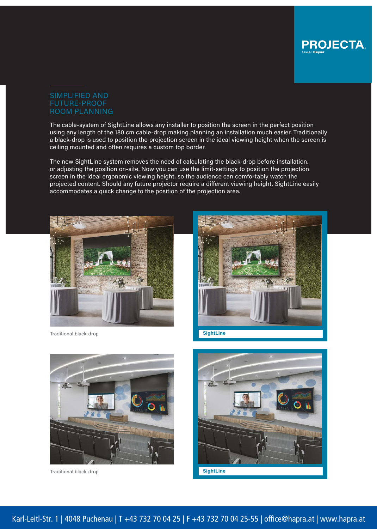

## FUTURE-PROOF ROOM PLANNING

The cable-system of SightLine allows any installer to position the screen in the perfect position using any length of the 180 cm cable-drop making planning an installation much easier. Traditionally a black-drop is used to position the projection screen in the ideal viewing height when the screen is ceiling mounted and often requires a custom top border.

The new SightLine system removes the need of calculating the black-drop before installation, or adjusting the position on-site. Now you can use the limit-settings to position the projection screen in the ideal ergonomic viewing height, so the audience can comfortably watch the projected content. Should any future projector require a different viewing height, SightLine easily accommodates a quick change to the position of the projection area.



**Traditional black-drop SightLine**